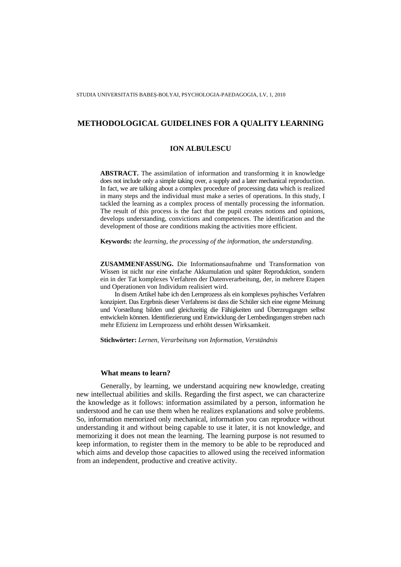## **ION ALBULESCU**

**ABSTRACT.** The assimilation of information and transforming it in knowledge does not include only a simple taking over, a supply and a later mechanical reproduction. In fact, we are talking about a complex procedure of processing data which is realized in many steps and the individual must make a series of operations. In this study, I tackled the learning as a complex process of mentally processing the information. The result of this process is the fact that the pupil creates notions and opinions, develops understanding, convictions and competences. The identification and the development of those are conditions making the activities more efficient.

**Keywords:** *the learning, the processing of the information, the understanding.* 

**ZUSAMMENFASSUNG.** Die Informationsaufnahme und Transformation von Wissen ist nicht nur eine einfache Akkumulation und später Reproduktion, sondern ein in der Tat komplexes Verfahren der Datenverarbeitung, der, in mehrere Etapen und Operationen von Individum realisiert wird.

In disem Artikel habe ich den Lernprozess als ein komplexes psyhisches Verfahren konzipiert. Das Ergebnis dieser Verfahrens ist dass die Schüler sich eine eigene Meinung und Vorstellung bilden und gleichzeitig die Fähigkeiten und Überzeugungen selbst entwickeln können. Identifiezierung und Entwicklung der Lernbedingungen streben nach mehr Efizienz im Lernprozess und erhöht dessen Wirksamkeit.

**Stichwörter:** *Lernen, Verarbeitung von Information, Verständnis*

## **What means to learn?**

Generally, by learning, we understand acquiring new knowledge, creating new intellectual abilities and skills. Regarding the first aspect, we can characterize the knowledge as it follows: information assimilated by a person, information he understood and he can use them when he realizes explanations and solve problems. So, information memorized only mechanical, information you can reproduce without understanding it and without being capable to use it later, it is not knowledge, and memorizing it does not mean the learning. The learning purpose is not resumed to keep information, to register them in the memory to be able to be reproduced and which aims and develop those capacities to allowed using the received information from an independent, productive and creative activity.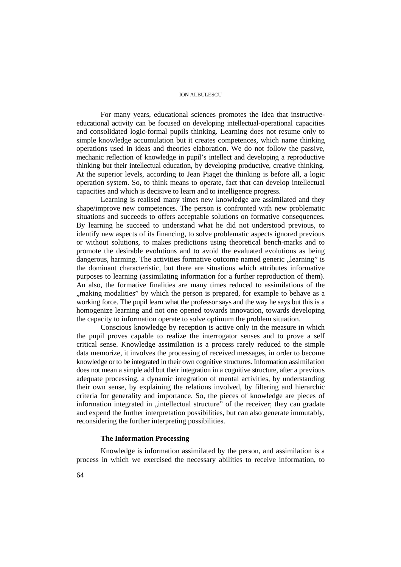For many years, educational sciences promotes the idea that instructiveeducational activity can be focused on developing intellectual-operational capacities and consolidated logic-formal pupils thinking. Learning does not resume only to simple knowledge accumulation but it creates competences, which name thinking operations used in ideas and theories elaboration. We do not follow the passive, mechanic reflection of knowledge in pupil's intellect and developing a reproductive thinking but their intellectual education, by developing productive, creative thinking. At the superior levels, according to Jean Piaget the thinking is before all, a logic operation system. So, to think means to operate, fact that can develop intellectual capacities and which is decisive to learn and to intelligence progress.

Learning is realised many times new knowledge are assimilated and they shape/improve new competences. The person is confronted with new problematic situations and succeeds to offers acceptable solutions on formative consequences. By learning he succeed to understand what he did not understood previous, to identify new aspects of its financing, to solve problematic aspects ignored previous or without solutions, to makes predictions using theoretical bench-marks and to promote the desirable evolutions and to avoid the evaluated evolutions as being dangerous, harming. The activities formative outcome named generic "learning" is the dominant characteristic, but there are situations which attributes informative purposes to learning (assimilating information for a further reproduction of them). An also, the formative finalities are many times reduced to assimilations of the "making modalities" by which the person is prepared, for example to behave as a working force. The pupil learn what the professor says and the way he says but this is a homogenize learning and not one opened towards innovation, towards developing the capacity to information operate to solve optimum the problem situation.

Conscious knowledge by reception is active only in the measure in which the pupil proves capable to realize the interrogator senses and to prove a self critical sense. Knowledge assimilation is a process rarely reduced to the simple data memorize, it involves the processing of received messages, in order to become knowledge or to be integrated in their own cognitive structures. Information assimilation does not mean a simple add but their integration in a cognitive structure, after a previous adequate processing, a dynamic integration of mental activities, by understanding their own sense, by explaining the relations involved, by filtering and hierarchic criteria for generality and importance. So, the pieces of knowledge are pieces of information integrated in "intellectual structure" of the receiver; they can gradate and expend the further interpretation possibilities, but can also generate immutably, reconsidering the further interpreting possibilities.

## **The Information Processing**

Knowledge is information assimilated by the person, and assimilation is a process in which we exercised the necessary abilities to receive information, to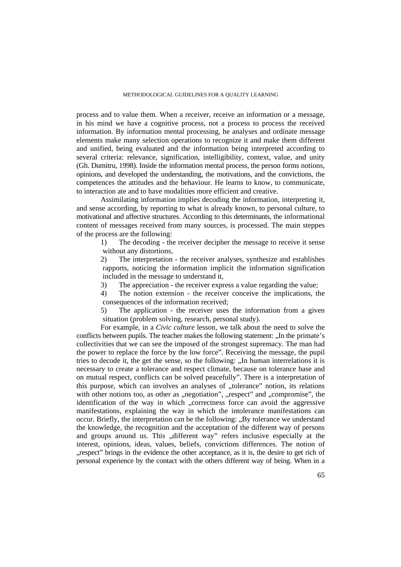process and to value them. When a receiver, receive an information or a message, in his mind we have a cognitive process, not a process to process the received information. By information mental processing, he analyses and ordinate message elements make many selection operations to recognize it and make them different and unified, being evaluated and the information being interpreted according to several criteria: relevance, signification, intelligibility, context, value, and unity (Gh. Dumitru, 1998). Inside the information mental process, the person forms notions, opinions, and developed the understanding, the motivations, and the convictions, the competences the attitudes and the behaviour. He learns to know, to communicate, to interaction ate and to have modalities more efficient and creative.

Assimilating information implies decoding the information, interpreting it, and sense according, by reporting to what is already known, to personal culture, to motivational and affective structures. According to this determinants, the informational content of messages received from many sources, is processed. The main steppes of the process are the following:

1) The decoding - the receiver decipher the message to receive it sense without any distortions,

2) The interpretation - the receiver analyses, synthesize and establishes rapports, noticing the information implicit the information signification included in the message to understand it,

3) The appreciation - the receiver express a value regarding the value;

4) The notion extension - the receiver conceive the implications, the consequences of the information received;

5) The application - the receiver uses the information from a given situation (problem solving, research, personal study).

For example, in a *Civic culture* lesson*,* we talk about the need to solve the conflicts between pupils. The teacher makes the following statement: "In the primate's collectivities that we can see the imposed of the strongest supremacy. The man had the power to replace the force by the low force". Receiving the message, the pupil tries to decode it, the get the sense, so the following: ..In human interrelations it is necessary to create a tolerance and respect climate, because on tolerance base and on mutual respect, conflicts can be solved peacefully". There is a interpretation of this purpose, which can involves an analyses of "tolerance" notion, its relations with other notions too, as other as "negotiation", "respect" and "compromise", the identification of the way in which "correctness force can avoid the aggressive manifestations, explaining the way in which the intolerance manifestations can occur. Briefly, the interpretation can be the following: "By tolerance we understand the knowledge, the recognition and the acceptation of the different way of persons and groups around us. This "different way" refers inclusive especially at the interest, opinions, ideas, values, beliefs, convictions differences. The notion of "respect" brings in the evidence the other acceptance, as it is, the desire to get rich of personal experience by the contact with the others different way of being. When in a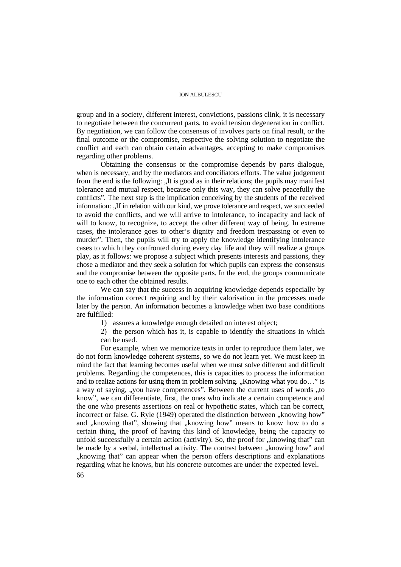group and in a society, different interest, convictions, passions clink, it is necessary to negotiate between the concurrent parts, to avoid tension degeneration in conflict. By negotiation, we can follow the consensus of involves parts on final result, or the final outcome or the compromise, respective the solving solution to negotiate the conflict and each can obtain certain advantages, accepting to make compromises regarding other problems.

Obtaining the consensus or the compromise depends by parts dialogue, when is necessary, and by the mediators and conciliators efforts. The value judgement from the end is the following: ...It is good as in their relations; the pupils may manifest tolerance and mutual respect, because only this way, they can solve peacefully the conflicts". The next step is the implication conceiving by the students of the received information: ...If in relation with our kind, we prove tolerance and respect, we succeeded to avoid the conflicts, and we will arrive to intolerance, to incapacity and lack of will to know, to recognize, to accept the other different way of being. In extreme cases, the intolerance goes to other's dignity and freedom trespassing or even to murder". Then, the pupils will try to apply the knowledge identifying intolerance cases to which they confronted during every day life and they will realize a groups play, as it follows: we propose a subject which presents interests and passions, they chose a mediator and they seek a solution for which pupils can express the consensus and the compromise between the opposite parts. In the end, the groups communicate one to each other the obtained results.

We can say that the success in acquiring knowledge depends especially by the information correct requiring and by their valorisation in the processes made later by the person. An information becomes a knowledge when two base conditions are fulfilled:

1) assures a knowledge enough detailed on interest object;

2) the person which has it, is capable to identify the situations in which can be used.

For example, when we memorize texts in order to reproduce them later, we do not form knowledge coherent systems, so we do not learn yet. We must keep in mind the fact that learning becomes useful when we must solve different and difficult problems. Regarding the competences, this is capacities to process the information and to realize actions for using them in problem solving.  $\Delta$ Knowing what you do..." is a way of saying, "you have competences". Between the current uses of words "to know", we can differentiate, first, the ones who indicate a certain competence and the one who presents assertions on real or hypothetic states, which can be correct, incorrect or false. G. Ryle (1949) operated the distinction between "knowing how" and "knowing that", showing that "knowing how" means to know how to do a certain thing, the proof of having this kind of knowledge, being the capacity to unfold successfully a certain action (activity). So, the proof for  $\mu$  knowing that" can be made by a verbal, intellectual activity. The contrast between ., knowing how" and "knowing that" can appear when the person offers descriptions and explanations regarding what he knows, but his concrete outcomes are under the expected level.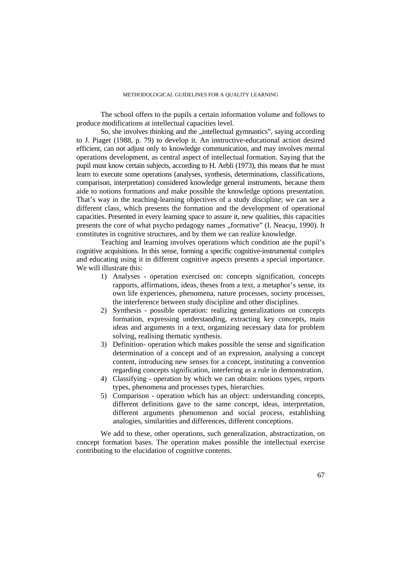The school offers to the pupils a certain information volume and follows to produce modifications at intellectual capacities level.

So, she involves thinking and the "intellectual gymnastics", saying according to J. Piaget (1988, p. 79) to develop it. An instructive-educational action desired efficient, can not adjust only to knowledge communication, and may involves mental operations development, as central aspect of intellectual formation. Saying that the pupil must know certain subjects, according to H. Aebli (1973), this means that he must learn to execute some operations (analyses, synthesis, determinations, classifications, comparison, interpretation) considered knowledge general instruments, because them aide to notions formations and make possible the knowledge options presentation. That's way in the teaching-learning objectives of a study discipline; we can see a different class, which presents the formation and the development of operational capacities. Presented in every learning space to assure it, new qualities, this capacities presents the core of what psycho pedagogy names "formative" (I. Neacșu, 1990). It constitutes in cognitive structures, and by them we can realize knowledge.

Teaching and learning involves operations which condition ate the pupil's cognitive acquisitions. In this sense, forming a specific cognitive-instrumental complex and educating using it in different cognitive aspects presents a special importance. We will illustrate this:

- 1) Analyses operation exercised on: concepts signification, concepts rapports, affirmations, ideas, theses from a text, a metaphor's sense, its own life experiences, phenomena, nature processes, society processes, the interference between study discipline and other disciplines.
- 2) Synthesis possible operation: realizing generalizations on concepts formation, expressing understanding, extracting key concepts, main ideas and arguments in a text, organizing necessary data for problem solving, realising thematic synthesis.
- 3) Definition- operation which makes possible the sense and signification determination of a concept and of an expression, analysing a concept content, introducing new senses for a concept, instituting a convention regarding concepts signification, interfering as a rule in demonstration.
- 4) Classifying operation by which we can obtain: notions types, reports types, phenomena and processes types, hierarchies.
- 5) Comparison operation which has an object: understanding concepts, different definitions gave to the same concept, ideas, interpretation, different arguments phenomenon and social process, establishing analogies, similarities and differences, different conceptions.

We add to these, other operations, such generalization, abstractization, on concept formation bases. The operation makes possible the intellectual exercise contributing to the elucidation of cognitive contents.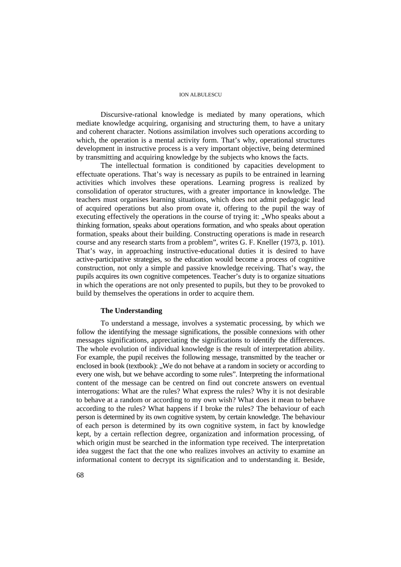Discursive-rational knowledge is mediated by many operations, which mediate knowledge acquiring, organising and structuring them, to have a unitary and coherent character. Notions assimilation involves such operations according to which, the operation is a mental activity form. That's why, operational structures development in instructive process is a very important objective, being determined by transmitting and acquiring knowledge by the subjects who knows the facts.

The intellectual formation is conditioned by capacities development to effectuate operations. That's way is necessary as pupils to be entrained in learning activities which involves these operations. Learning progress is realized by consolidation of operator structures, with a greater importance in knowledge. The teachers must organises learning situations, which does not admit pedagogic lead of acquired operations but also prom ovate it, offering to the pupil the way of executing effectively the operations in the course of trying it: "Who speaks about a thinking formation, speaks about operations formation, and who speaks about operation formation, speaks about their building. Constructing operations is made in research course and any research starts from a problem", writes G. F. Kneller (1973, p. 101). That's way, in approaching instructive-educational duties it is desired to have active-participative strategies, so the education would become a process of cognitive construction, not only a simple and passive knowledge receiving. That's way, the pupils acquires its own cognitive competences. Teacher's duty is to organize situations in which the operations are not only presented to pupils, but they to be provoked to build by themselves the operations in order to acquire them.

## **The Understanding**

To understand a message, involves a systematic processing, by which we follow the identifying the message significations, the possible connexions with other messages significations, appreciating the significations to identify the differences. The whole evolution of individual knowledge is the result of interpretation ability. For example, the pupil receives the following message, transmitted by the teacher or enclosed in book (textbook): "We do not behave at a random in society or according to every one wish, but we behave according to some rules". Interpreting the informational content of the message can be centred on find out concrete answers on eventual interrogations: What are the rules? What express the rules? Why it is not desirable to behave at a random or according to my own wish? What does it mean to behave according to the rules? What happens if I broke the rules? The behaviour of each person is determined by its own cognitive system, by certain knowledge. The behaviour of each person is determined by its own cognitive system, in fact by knowledge kept, by a certain reflection degree, organization and information processing, of which origin must be searched in the information type received. The interpretation idea suggest the fact that the one who realizes involves an activity to examine an informational content to decrypt its signification and to understanding it. Beside,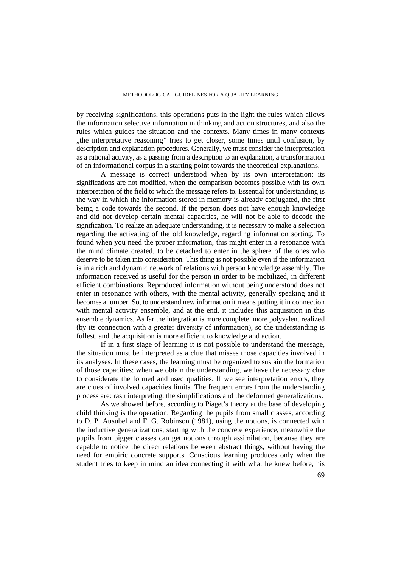by receiving significations, this operations puts in the light the rules which allows the information selective information in thinking and action structures, and also the rules which guides the situation and the contexts. Many times in many contexts "the interpretative reasoning" tries to get closer, some times until confusion, by description and explanation procedures. Generally, we must consider the interpretation as a rational activity, as a passing from a description to an explanation, a transformation of an informational corpus in a starting point towards the theoretical explanations.

A message is correct understood when by its own interpretation; its significations are not modified, when the comparison becomes possible with its own interpretation of the field to which the message refers to. Essential for understanding is the way in which the information stored in memory is already conjugated, the first being a code towards the second. If the person does not have enough knowledge and did not develop certain mental capacities, he will not be able to decode the signification. To realize an adequate understanding, it is necessary to make a selection regarding the activating of the old knowledge, regarding information sorting. To found when you need the proper information, this might enter in a resonance with the mind climate created, to be detached to enter in the sphere of the ones who deserve to be taken into consideration. This thing is not possible even if the information is in a rich and dynamic network of relations with person knowledge assembly. The information received is useful for the person in order to be mobilized, in different efficient combinations. Reproduced information without being understood does not enter in resonance with others, with the mental activity, generally speaking and it becomes a lumber. So, to understand new information it means putting it in connection with mental activity ensemble, and at the end, it includes this acquisition in this ensemble dynamics. As far the integration is more complete, more polyvalent realized (by its connection with a greater diversity of information), so the understanding is fullest, and the acquisition is more efficient to knowledge and action.

If in a first stage of learning it is not possible to understand the message, the situation must be interpreted as a clue that misses those capacities involved in its analyses. In these cases, the learning must be organized to sustain the formation of those capacities; when we obtain the understanding, we have the necessary clue to considerate the formed and used qualities. If we see interpretation errors, they are clues of involved capacities limits. The frequent errors from the understanding process are: rash interpreting, the simplifications and the deformed generalizations.

As we showed before, according to Piaget's theory at the base of developing child thinking is the operation. Regarding the pupils from small classes, according to D. P. Ausubel and F. G. Robinson (1981), using the notions, is connected with the inductive generalizations, starting with the concrete experience, meanwhile the pupils from bigger classes can get notions through assimilation, because they are capable to notice the direct relations between abstract things, without having the need for empiric concrete supports. Conscious learning produces only when the student tries to keep in mind an idea connecting it with what he knew before, his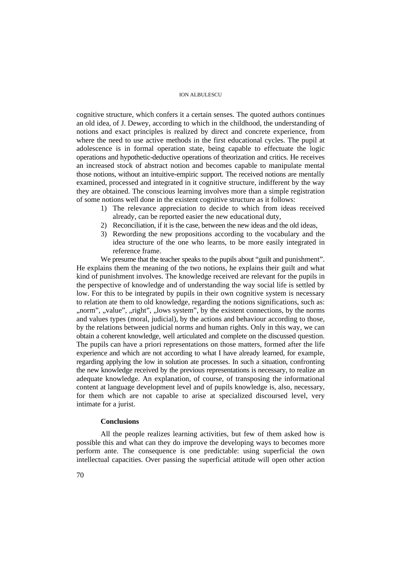cognitive structure, which confers it a certain senses. The quoted authors continues an old idea, of J. Dewey, according to which in the childhood, the understanding of notions and exact principles is realized by direct and concrete experience, from where the need to use active methods in the first educational cycles. The pupil at adolescence is in formal operation state, being capable to effectuate the logic operations and hypothetic-deductive operations of theorization and critics. He receives an increased stock of abstract notion and becomes capable to manipulate mental those notions, without an intuitive-empiric support. The received notions are mentally examined, processed and integrated in it cognitive structure, indifferent by the way they are obtained. The conscious learning involves more than a simple registration of some notions well done in the existent cognitive structure as it follows:

- 1) The relevance appreciation to decide to which from ideas received already, can be reported easier the new educational duty,
- 2) Reconciliation, if it is the case, between the new ideas and the old ideas,
- 3) Rewording the new propositions according to the vocabulary and the idea structure of the one who learns, to be more easily integrated in reference frame.

We presume that the teacher speaks to the pupils about "guilt and punishment". He explains them the meaning of the two notions, he explains their guilt and what kind of punishment involves. The knowledge received are relevant for the pupils in the perspective of knowledge and of understanding the way social life is settled by low. For this to be integrated by pupils in their own cognitive system is necessary to relation ate them to old knowledge, regarding the notions significations, such as: ,,norm", ,,value", ,,right", ,,lows system", by the existent connections, by the norms and values types (moral, judicial), by the actions and behaviour according to those, by the relations between judicial norms and human rights. Only in this way, we can obtain a coherent knowledge, well articulated and complete on the discussed question. The pupils can have a priori representations on those matters, formed after the life experience and which are not according to what I have already learned, for example, regarding applying the low in solution ate processes. In such a situation, confronting the new knowledge received by the previous representations is necessary, to realize an adequate knowledge. An explanation, of course, of transposing the informational content at language development level and of pupils knowledge is, also, necessary, for them which are not capable to arise at specialized discoursed level, very intimate for a jurist.

## **Conclusions**

All the people realizes learning activities, but few of them asked how is possible this and what can they do improve the developing ways to becomes more perform ante. The consequence is one predictable: using superficial the own intellectual capacities. Over passing the superficial attitude will open other action